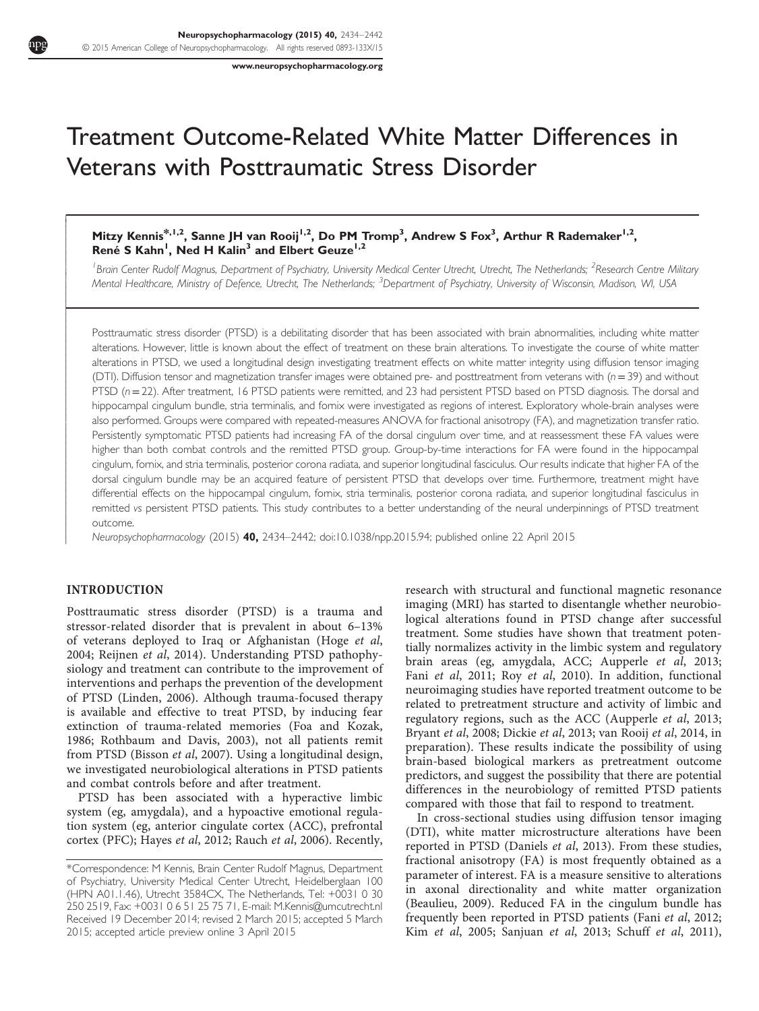[www.neuropsychopharmacology.org](http://www.neuropsychopharmacology.org)

# Treatment Outcome-Related White Matter Differences in Veterans with Posttraumatic Stress Disorder

## Mitzy Kennis\*,<sup>1,2</sup>, Sanne JH van Rooij<sup>1,2</sup>, Do PM Tromp<sup>3</sup>, Andrew S Fox<sup>3</sup>, Arthur R Rademaker<sup>1,2</sup>, René S Kahn<sup>1</sup>, Ned H Kalin<sup>3</sup> and Elbert Geuze<sup>1,2</sup>

<sup>1</sup> Brain Center Rudolf Magnus, Department of Psychiatry, University Medical Center Utrecht, Utrecht, The Netherlands; <sup>2</sup>Research Centre Military Mental Healthcare, Ministry of Defence, Utrecht, The Netherlands; <sup>3</sup>Department of Psychiatry, University of Wisconsin, Madison, WI, USA

Posttraumatic stress disorder (PTSD) is a debilitating disorder that has been associated with brain abnormalities, including white matter alterations. However, little is known about the effect of treatment on these brain alterations. To investigate the course of white matter alterations in PTSD, we used a longitudinal design investigating treatment effects on white matter integrity using diffusion tensor imaging (DTI). Diffusion tensor and magnetization transfer images were obtained pre- and posttreatment from veterans with  $(n=39)$  and without PTSD (n=22). After treatment, 16 PTSD patients were remitted, and 23 had persistent PTSD based on PTSD diagnosis. The dorsal and hippocampal cingulum bundle, stria terminalis, and fornix were investigated as regions of interest. Exploratory whole-brain analyses were also performed. Groups were compared with repeated-measures ANOVA for fractional anisotropy (FA), and magnetization transfer ratio. Persistently symptomatic PTSD patients had increasing FA of the dorsal cingulum over time, and at reassessment these FA values were higher than both combat controls and the remitted PTSD group. Group-by-time interactions for FA were found in the hippocampal cingulum, fornix, and stria terminalis, posterior corona radiata, and superior longitudinal fasciculus. Our results indicate that higher FA of the dorsal cingulum bundle may be an acquired feature of persistent PTSD that develops over time. Furthermore, treatment might have differential effects on the hippocampal cingulum, fornix, stria terminalis, posterior corona radiata, and superior longitudinal fasciculus in remitted vs persistent PTSD patients. This study contributes to a better understanding of the neural underpinnings of PTSD treatment outcome.

Neuropsychopharmacology (2015) 40, 2434–2442; doi[:10.1038/npp.2015.94](http://dx.doi.org/10.1038/npp.2015.94); published online 22 April 2015

#### INTRODUCTION

ſ I  $\overline{\phantom{a}}$  $\overline{\phantom{a}}$  $\overline{\phantom{a}}$  $\overline{\phantom{a}}$  $\overline{\phantom{a}}$  $\overline{\phantom{a}}$  $\overline{\phantom{a}}$  $\overline{\phantom{a}}$  $\overline{\phantom{a}}$  $\overline{\phantom{a}}$  $\overline{\phantom{a}}$ ŀ Ī  $\overline{\phantom{a}}$  $\overline{\phantom{a}}$  $\overline{\phantom{a}}$  $\overline{\phantom{a}}$  $\overline{\phantom{a}}$  $\overline{\phantom{a}}$  $\overline{\phantom{a}}$  $\overline{\phantom{a}}$  $\overline{\phantom{a}}$  $\overline{\phantom{a}}$  $\overline{\phantom{a}}$  $\overline{\phantom{a}}$  $\overline{\phantom{a}}$  $\overline{\phantom{a}}$  $\overline{\phantom{a}}$  $\overline{\phantom{a}}$  $\overline{\phantom{a}}$  $\overline{\phantom{a}}$  $\overline{\phantom{a}}$  $\overline{\phantom{a}}$  $\overline{\phantom{a}}$  $\overline{\phantom{a}}$  $\overline{\phantom{a}}$  $\mathsf{I}$  $\overline{\phantom{a}}$  $\overline{\phantom{a}}$  $\mathsf{I}$  $\mathsf{I}$  $\mathsf{I}$  $\mathsf{I}$  $\overline{\phantom{a}}$  $\overline{\phantom{a}}$  $\mathsf{I}$  $\mid$ 

Posttraumatic stress disorder (PTSD) is a trauma and stressor-related disorder that is prevalent in about 6–13% of veterans deployed to Iraq or Afghanistan (Hoge et al, 2004; Reijnen et al, 2014). Understanding PTSD pathophysiology and treatment can contribute to the improvement of interventions and perhaps the prevention of the development of PTSD (Linden, 2006). Although trauma-focused therapy is available and effective to treat PTSD, by inducing fear extinction of trauma-related memories (Foa and Kozak, 1986; Rothbaum and Davis, 2003), not all patients remit from PTSD (Bisson et al, 2007). Using a longitudinal design, we investigated neurobiological alterations in PTSD patients and combat controls before and after treatment.

PTSD has been associated with a hyperactive limbic system (eg, amygdala), and a hypoactive emotional regulation system (eg, anterior cingulate cortex (ACC), prefrontal cortex (PFC); Hayes et al, 2012; Rauch et al, 2006). Recently, research with structural and functional magnetic resonance imaging (MRI) has started to disentangle whether neurobiological alterations found in PTSD change after successful treatment. Some studies have shown that treatment potentially normalizes activity in the limbic system and regulatory brain areas (eg, amygdala, ACC; Aupperle et al, 2013; Fani et al, 2011; Roy et al, 2010). In addition, functional neuroimaging studies have reported treatment outcome to be related to pretreatment structure and activity of limbic and regulatory regions, such as the ACC (Aupperle et al, 2013; Bryant et al, 2008; Dickie et al, 2013; van Rooij et al, 2014, in preparation). These results indicate the possibility of using brain-based biological markers as pretreatment outcome predictors, and suggest the possibility that there are potential differences in the neurobiology of remitted PTSD patients compared with those that fail to respond to treatment.

In cross-sectional studies using diffusion tensor imaging (DTI), white matter microstructure alterations have been reported in PTSD (Daniels et al, 2013). From these studies, fractional anisotropy (FA) is most frequently obtained as a parameter of interest. FA is a measure sensitive to alterations in axonal directionality and white matter organization (Beaulieu, 2009). Reduced FA in the cingulum bundle has frequently been reported in PTSD patients (Fani et al, 2012; Kim et al, 2005; Sanjuan et al, 2013; Schuff et al, 2011),

<sup>\*</sup>Correspondence: M Kennis, Brain Center Rudolf Magnus, Department of Psychiatry, University Medical Center Utrecht, Heidelberglaan 100 (HPN A01.1.46), Utrecht 3584CX, The Netherlands, Tel: +0031 0 30 250 2519, Fax: +0031 0 6 51 25 75 71, E-mail: [M.Kennis@umcutrecht.nl](mailto:M.Kennis@umcutrecht.nl) Received 19 December 2014; revised 2 March 2015; accepted 5 March 2015; accepted article preview online 3 April 2015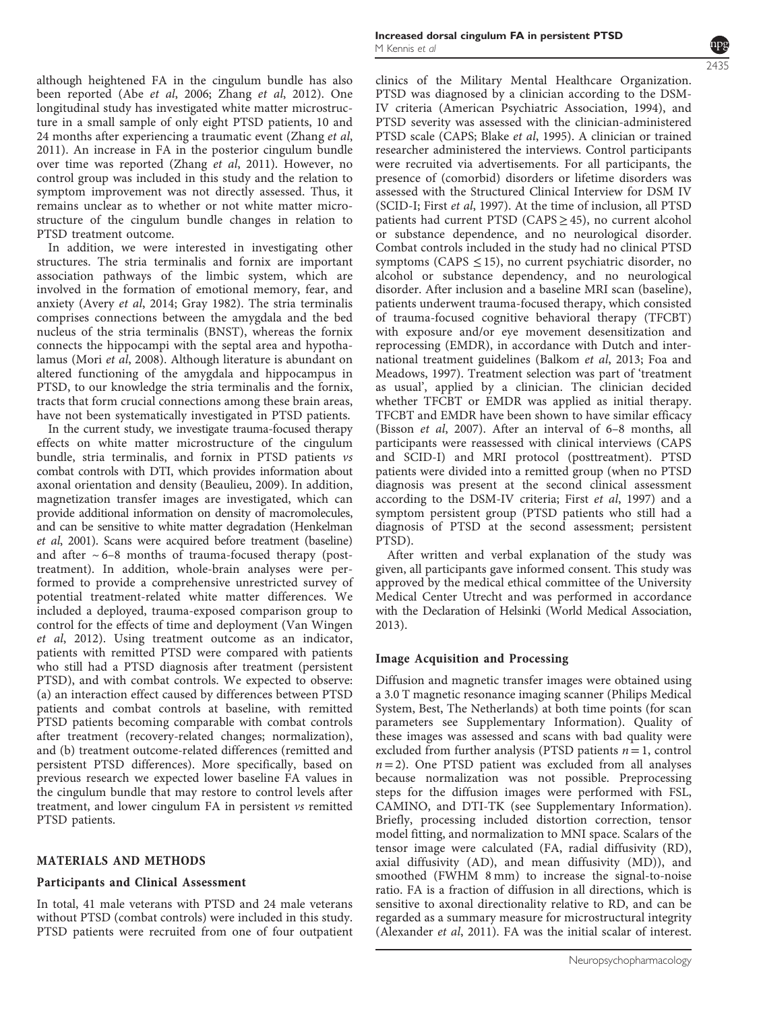although heightened FA in the cingulum bundle has also been reported (Abe et al, 2006; Zhang et al, 2012). One longitudinal study has investigated white matter microstructure in a small sample of only eight PTSD patients, 10 and 24 months after experiencing a traumatic event (Zhang et al, 2011). An increase in FA in the posterior cingulum bundle over time was reported (Zhang et al, 2011). However, no control group was included in this study and the relation to symptom improvement was not directly assessed. Thus, it remains unclear as to whether or not white matter microstructure of the cingulum bundle changes in relation to PTSD treatment outcome.

In addition, we were interested in investigating other structures. The stria terminalis and fornix are important association pathways of the limbic system, which are involved in the formation of emotional memory, fear, and anxiety (Avery et al, 2014; Gray 1982). The stria terminalis comprises connections between the amygdala and the bed nucleus of the stria terminalis (BNST), whereas the fornix connects the hippocampi with the septal area and hypothalamus (Mori et al, 2008). Although literature is abundant on altered functioning of the amygdala and hippocampus in PTSD, to our knowledge the stria terminalis and the fornix, tracts that form crucial connections among these brain areas, have not been systematically investigated in PTSD patients.

In the current study, we investigate trauma-focused therapy effects on white matter microstructure of the cingulum bundle, stria terminalis, and fornix in PTSD patients vs combat controls with DTI, which provides information about axonal orientation and density (Beaulieu, 2009). In addition, magnetization transfer images are investigated, which can provide additional information on density of macromolecules, and can be sensitive to white matter degradation (Henkelman et al, 2001). Scans were acquired before treatment (baseline) and after  $\sim 6-8$  months of trauma-focused therapy (posttreatment). In addition, whole-brain analyses were performed to provide a comprehensive unrestricted survey of potential treatment-related white matter differences. We included a deployed, trauma-exposed comparison group to control for the effects of time and deployment (Van Wingen et al, 2012). Using treatment outcome as an indicator, patients with remitted PTSD were compared with patients who still had a PTSD diagnosis after treatment (persistent PTSD), and with combat controls. We expected to observe: (a) an interaction effect caused by differences between PTSD patients and combat controls at baseline, with remitted PTSD patients becoming comparable with combat controls after treatment (recovery-related changes; normalization), and (b) treatment outcome-related differences (remitted and persistent PTSD differences). More specifically, based on previous research we expected lower baseline FA values in the cingulum bundle that may restore to control levels after treatment, and lower cingulum FA in persistent vs remitted PTSD patients.

#### MATERIALS AND METHODS

#### Participants and Clinical Assessment

In total, 41 male veterans with PTSD and 24 male veterans without PTSD (combat controls) were included in this study. PTSD patients were recruited from one of four outpatient



clinics of the Military Mental Healthcare Organization. PTSD was diagnosed by a clinician according to the DSM-IV criteria (American Psychiatric Association, 1994), and PTSD severity was assessed with the clinician-administered PTSD scale (CAPS; Blake et al, 1995). A clinician or trained researcher administered the interviews. Control participants were recruited via advertisements. For all participants, the presence of (comorbid) disorders or lifetime disorders was assessed with the Structured Clinical Interview for DSM IV (SCID-I; First et al, 1997). At the time of inclusion, all PTSD patients had current PTSD (CAPS  $\geq$  45), no current alcohol or substance dependence, and no neurological disorder. Combat controls included in the study had no clinical PTSD symptoms (CAPS  $\leq$  15), no current psychiatric disorder, no alcohol or substance dependency, and no neurological disorder. After inclusion and a baseline MRI scan (baseline), patients underwent trauma-focused therapy, which consisted of trauma-focused cognitive behavioral therapy (TFCBT) with exposure and/or eye movement desensitization and reprocessing (EMDR), in accordance with Dutch and international treatment guidelines (Balkom et al, 2013; Foa and Meadows, 1997). Treatment selection was part of 'treatment as usual', applied by a clinician. The clinician decided whether TFCBT or EMDR was applied as initial therapy. TFCBT and EMDR have been shown to have similar efficacy (Bisson et al, 2007). After an interval of 6–8 months, all participants were reassessed with clinical interviews (CAPS and SCID-I) and MRI protocol (posttreatment). PTSD patients were divided into a remitted group (when no PTSD diagnosis was present at the second clinical assessment according to the DSM-IV criteria; First et al, 1997) and a symptom persistent group (PTSD patients who still had a diagnosis of PTSD at the second assessment; persistent PTSD).

After written and verbal explanation of the study was given, all participants gave informed consent. This study was approved by the medical ethical committee of the University Medical Center Utrecht and was performed in accordance with the Declaration of Helsinki (World Medical Association, 2013).

# Image Acquisition and Processing

Diffusion and magnetic transfer images were obtained using a 3.0 T magnetic resonance imaging scanner (Philips Medical System, Best, The Netherlands) at both time points (for scan parameters see Supplementary Information). Quality of these images was assessed and scans with bad quality were excluded from further analysis (PTSD patients  $n = 1$ , control  $n = 2$ ). One PTSD patient was excluded from all analyses because normalization was not possible. Preprocessing steps for the diffusion images were performed with FSL, CAMINO, and DTI-TK (see Supplementary Information). Briefly, processing included distortion correction, tensor model fitting, and normalization to MNI space. Scalars of the tensor image were calculated (FA, radial diffusivity (RD), axial diffusivity (AD), and mean diffusivity (MD)), and smoothed (FWHM 8 mm) to increase the signal-to-noise ratio. FA is a fraction of diffusion in all directions, which is sensitive to axonal directionality relative to RD, and can be regarded as a summary measure for microstructural integrity (Alexander et al, 2011). FA was the initial scalar of interest.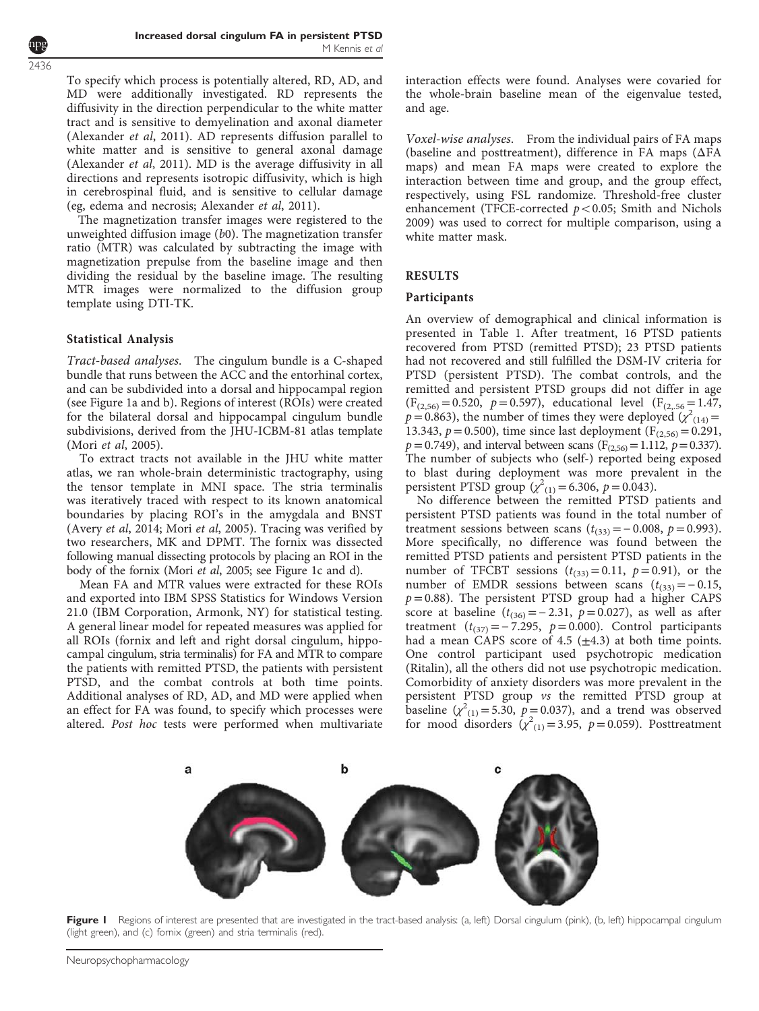To specify which process is potentially altered, RD, AD, and MD were additionally investigated. RD represents the diffusivity in the direction perpendicular to the white matter tract and is sensitive to demyelination and axonal diameter (Alexander et al, 2011). AD represents diffusion parallel to white matter and is sensitive to general axonal damage (Alexander et al, 2011). MD is the average diffusivity in all directions and represents isotropic diffusivity, which is high in cerebrospinal fluid, and is sensitive to cellular damage (eg, edema and necrosis; Alexander et al, 2011).

The magnetization transfer images were registered to the unweighted diffusion image (b0). The magnetization transfer ratio (MTR) was calculated by subtracting the image with magnetization prepulse from the baseline image and then dividing the residual by the baseline image. The resulting MTR images were normalized to the diffusion group template using DTI-TK.

## Statistical Analysis

Tract-based analyses. The cingulum bundle is a C-shaped bundle that runs between the ACC and the entorhinal cortex, and can be subdivided into a dorsal and hippocampal region (see Figure 1a and b). Regions of interest (ROIs) were created for the bilateral dorsal and hippocampal cingulum bundle subdivisions, derived from the JHU-ICBM-81 atlas template (Mori et al, 2005).

To extract tracts not available in the JHU white matter atlas, we ran whole-brain deterministic tractography, using the tensor template in MNI space. The stria terminalis was iteratively traced with respect to its known anatomical boundaries by placing ROI's in the amygdala and BNST (Avery et al, 2014; Mori et al, 2005). Tracing was verified by two researchers, MK and DPMT. The fornix was dissected following manual dissecting protocols by placing an ROI in the body of the fornix (Mori et al, 2005; see Figure 1c and d).

Mean FA and MTR values were extracted for these ROIs and exported into IBM SPSS Statistics for Windows Version 21.0 (IBM Corporation, Armonk, NY) for statistical testing. A general linear model for repeated measures was applied for all ROIs (fornix and left and right dorsal cingulum, hippocampal cingulum, stria terminalis) for FA and MTR to compare the patients with remitted PTSD, the patients with persistent PTSD, and the combat controls at both time points. Additional analyses of RD, AD, and MD were applied when an effect for FA was found, to specify which processes were altered. Post hoc tests were performed when multivariate interaction effects were found. Analyses were covaried for the whole-brain baseline mean of the eigenvalue tested, and age.

Voxel-wise analyses. From the individual pairs of FA maps (baseline and posttreatment), difference in FA maps (ΔFA maps) and mean FA maps were created to explore the interaction between time and group, and the group effect, respectively, using FSL randomize. Threshold-free cluster enhancement (TFCE-corrected  $p < 0.05$ ; Smith and Nichols 2009) was used to correct for multiple comparison, using a white matter mask.

### RESULTS

#### Participants

An overview of demographical and clinical information is presented in [Table 1](#page-3-0). After treatment, 16 PTSD patients recovered from PTSD (remitted PTSD); 23 PTSD patients had not recovered and still fulfilled the DSM-IV criteria for PTSD (persistent PTSD). The combat controls, and the remitted and persistent PTSD groups did not differ in age  $(F_{(2,56)}=0.520, p=0.597)$ , educational level  $(F_{(2,56)}=1.47,$  $p = 0.863$ ), the number of times they were deployed  $(\chi^2)_{(14)} =$ 13.343,  $p = 0.500$ ), time since last deployment (F<sub>(2,56)</sub> = 0.291,  $p = 0.749$ , and interval between scans (F<sub>(2,56)</sub> = 1.112,  $p = 0.337$ ). The number of subjects who (self-) reported being exposed to blast during deployment was more prevalent in the persistent PTSD group  $(\chi^2_{(1)} = 6.306, p = 0.043)$ .

No difference between the remitted PTSD patients and persistent PTSD patients was found in the total number of treatment sessions between scans  $(t_{(33)}=-0.008, p=0.993)$ . More specifically, no difference was found between the remitted PTSD patients and persistent PTSD patients in the number of TFCBT sessions  $(t_{(33)}= 0.11, p= 0.91)$ , or the number of EMDR sessions between scans  $(t_{(33)}=-0.15,$  $p = 0.88$ ). The persistent PTSD group had a higher CAPS score at baseline ( $t_{(36)} = −2.31$ ,  $p = 0.027$ ), as well as after treatment ( $t_{(37)} = -7.295$ ,  $p = 0.000$ ). Control participants had a mean CAPS score of 4.5  $(\pm 4.3)$  at both time points. One control participant used psychotropic medication (Ritalin), all the others did not use psychotropic medication. Comorbidity of anxiety disorders was more prevalent in the persistent PTSD group vs the remitted PTSD group at baseline  $(\chi^2_{(1)} = 5.30, p = 0.037)$ , and a trend was observed for mood disorders  $\left(\chi^2(1)} = 3.95, p = 0.059\right)$ . Posttreatment



Figure I Regions of interest are presented that are investigated in the tract-based analysis: (a, left) Dorsal cingulum (pink), (b, left) hippocampal cingulum (light green), and (c) fornix (green) and stria terminalis (red).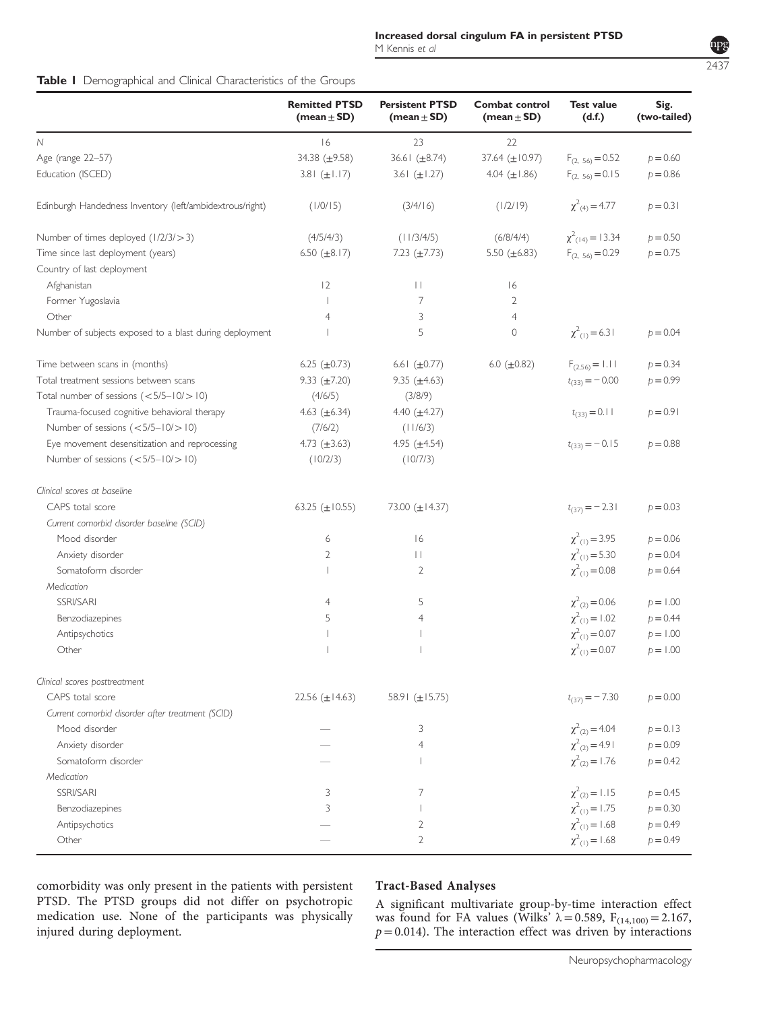<span id="page-3-0"></span>

|  | Table I Demographical and Clinical Characteristics of the Groups |  |  |  |  |  |
|--|------------------------------------------------------------------|--|--|--|--|--|
|--|------------------------------------------------------------------|--|--|--|--|--|

|                                                          | <b>Remitted PTSD</b><br>(mean $\pm$ SD) | <b>Persistent PTSD</b><br>(mean $\pm$ SD) | <b>Combat control</b><br>(mean $\pm$ SD) | <b>Test value</b><br>(d.f.)      | Sig.<br>(two-tailed) |
|----------------------------------------------------------|-----------------------------------------|-------------------------------------------|------------------------------------------|----------------------------------|----------------------|
| N                                                        | 16                                      | 23                                        | 22                                       |                                  |                      |
| Age (range 22-57)                                        | 34.38 $(\pm 9.58)$                      | 36.61 $(\pm 8.74)$                        | 37.64 $(\pm 10.97)$                      | $F_{(2, 56)} = 0.52$             | $p = 0.60$           |
| Education (ISCED)                                        | $3.81 (\pm 1.17)$                       | 3.6 $(\pm 1.27)$                          | 4.04 $(\pm 1.86)$                        | $F_{(2, 56)} = 0.15$             | $p = 0.86$           |
| Edinburgh Handedness Inventory (left/ambidextrous/right) | (1/0/15)                                | (3/4/16)                                  | (1/2/19)                                 | $\chi^2_{(4)} = 4.77$            | $p = 0.31$           |
| Number of times deployed (1/2/3/>3)                      | (4/5/4/3)                               | (11/3/4/5)                                | (6/8/4/4)                                | $\chi^2$ <sub>(14)</sub> = 13.34 | $p = 0.50$           |
| Time since last deployment (years)                       | 6.50 $(\pm 8.17)$                       | 7.23 $(\pm 7.73)$                         | 5.50 $(\pm 6.83)$                        | $F_{(2, 56)} = 0.29$             | $p = 0.75$           |
| Country of last deployment                               |                                         |                                           |                                          |                                  |                      |
| Afghanistan                                              | 12                                      | $\perp$                                   | 16                                       |                                  |                      |
| Former Yugoslavia                                        | $\overline{1}$                          | 7                                         | $\overline{2}$                           |                                  |                      |
| Other                                                    | $\overline{4}$                          | 3                                         | $\overline{4}$                           |                                  |                      |
| Number of subjects exposed to a blast during deployment  |                                         | 5                                         | $\circ$                                  | $\chi^2_{(1)} = 6.31$            | $p = 0.04$           |
| Time between scans in (months)                           | 6.25 $(\pm 0.73)$                       | 6.6 $(\pm 0.77)$                          | 6.0 $(\pm 0.82)$                         | $F_{(2,56)} = 1.11$              | $p = 0.34$           |
| Total treatment sessions between scans                   | 9.33 $(\pm 7.20)$                       | 9.35 $(\pm 4.63)$                         |                                          | $t_{(33)} = -0.00$               | $p = 0.99$           |
| Total number of sessions $(<5/5-10/>10)$                 | (4/6/5)                                 | (3/8/9)                                   |                                          |                                  |                      |
| Trauma-focused cognitive behavioral therapy              | 4.63 $(\pm 6.34)$                       | 4.40 $(\pm 4.27)$                         |                                          | $t_{(33)} = 0.11$                | $p = 0.91$           |
| Number of sessions $(<5/5-10/>10)$                       | (7/6/2)                                 | (11/6/3)                                  |                                          |                                  |                      |
| Eye movement desensitization and reprocessing            | 4.73 $(\pm 3.63)$                       | 4.95 $(\pm 4.54)$                         |                                          | $t_{(33)} = -0.15$               | $p = 0.88$           |
| Number of sessions $(<5/5-10/>10)$                       | (10/2/3)                                | (10/7/3)                                  |                                          |                                  |                      |
| Clinical scores at baseline                              |                                         |                                           |                                          |                                  |                      |
| CAPS total score                                         | 63.25 ( $\pm$ 10.55)                    | 73.00 $(\pm 14.37)$                       |                                          | $t_{(37)} = -2.31$               | $p = 0.03$           |
| Current comorbid disorder baseline (SCID)                |                                         |                                           |                                          |                                  |                      |
| Mood disorder                                            | 6                                       | 6                                         |                                          | $\chi^2_{(1)} = 3.95$            | $p = 0.06$           |
| Anxiety disorder                                         | $\overline{2}$                          | $\mathbf{H}$                              |                                          | $\chi^2$ <sub>(1)</sub> = 5.30   | $p = 0.04$           |
| Somatoform disorder                                      |                                         | 2                                         |                                          | $\chi^2$ <sub>(1)</sub> = 0.08   | $p = 0.64$           |
| Medication                                               |                                         |                                           |                                          |                                  |                      |
| SSRI/SARI                                                | $\overline{4}$                          | 5                                         |                                          | $\chi^2_{(2)} = 0.06$            | $p = 1.00$           |
| Benzodiazepines                                          | 5                                       | 4                                         |                                          | $\chi^2_{(1)} = 1.02$            | $p = 0.44$           |
| Antipsychotics                                           |                                         |                                           |                                          | $\chi^2$ <sub>(1)</sub> = 0.07   | $p = 1.00$           |
| Other                                                    |                                         |                                           |                                          | $\chi^2$ <sub>(1)</sub> = 0.07   | $p = 1.00$           |
| Clinical scores posttreatment                            |                                         |                                           |                                          |                                  |                      |
| CAPS total score                                         | 22.56 $(\pm 14.63)$                     | 58.91 ( $\pm$ 15.75)                      |                                          | $t_{(37)} = -7.30$               | $p = 0.00$           |
| Current comorbid disorder after treatment (SCID)         |                                         |                                           |                                          |                                  |                      |
| Mood disorder                                            |                                         | 3                                         |                                          | $\chi^2_{(2)} = 4.04$            | $p = 0.13$           |
| Anxiety disorder                                         |                                         | 4                                         |                                          | $\chi^2_{(2)} = 4.91$            | $p = 0.09$           |
| Somatoform disorder                                      |                                         |                                           |                                          | $\chi^2_{(2)} = 1.76$            | $p = 0.42$           |
| Medication                                               |                                         |                                           |                                          |                                  |                      |
| SSRI/SARI                                                | 3                                       | 7                                         |                                          | $\chi^2_{(2)} = 1.15$            | $p = 0.45$           |
| Benzodiazepines                                          | 3                                       |                                           |                                          | $\chi^2_{(1)} = 1.75$            | $p = 0.30$           |
| Antipsychotics                                           |                                         | 2                                         |                                          | $\chi^2_{(1)} = 1.68$            | $p = 0.49$           |
| Other                                                    |                                         | 2                                         |                                          | $\chi^2_{(1)} = 1.68$            | $p = 0.49$           |
|                                                          |                                         |                                           |                                          |                                  |                      |

comorbidity was only present in the patients with persistent PTSD. The PTSD groups did not differ on psychotropic medication use. None of the participants was physically injured during deployment.

## Tract-Based Analyses

A significant multivariate group-by-time interaction effect was found for FA values (Wilks'  $\lambda = 0.589$ , F<sub>(14,100)</sub> = 2.167,  $p = 0.014$ ). The interaction effect was driven by interactions

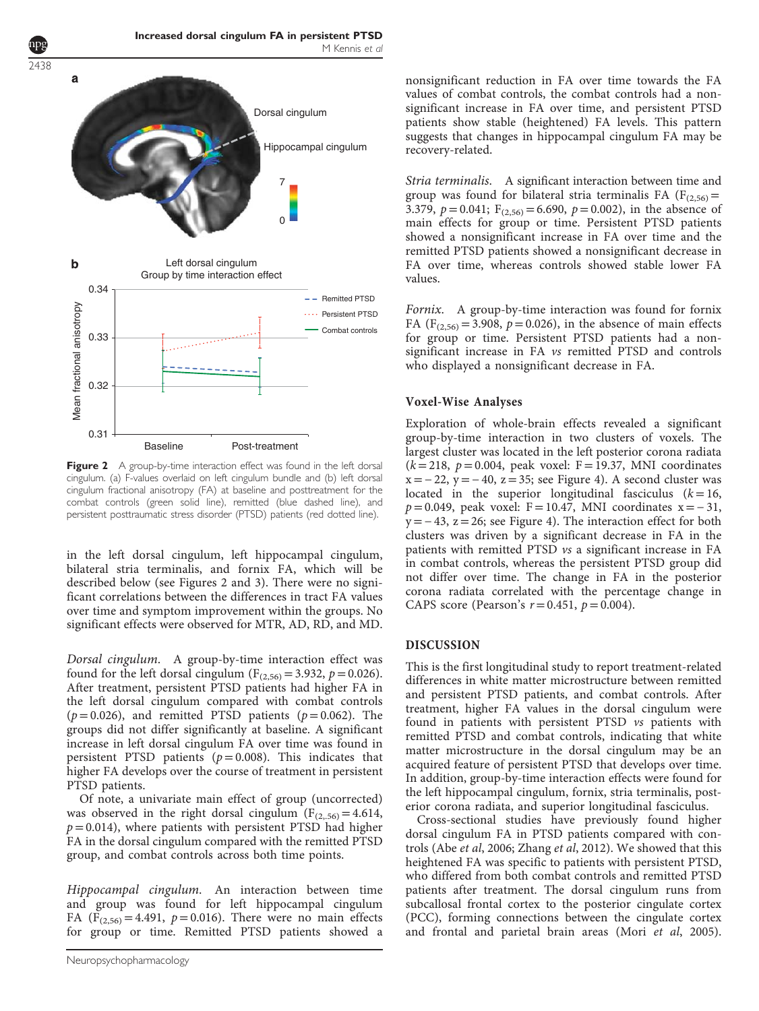<span id="page-4-0"></span>2438



Figure 2 A group-by-time interaction effect was found in the left dorsal cingulum. (a) F-values overlaid on left cingulum bundle and (b) left dorsal cingulum fractional anisotropy (FA) at baseline and posttreatment for the combat controls (green solid line), remitted (blue dashed line), and persistent posttraumatic stress disorder (PTSD) patients (red dotted line).

in the left dorsal cingulum, left hippocampal cingulum, bilateral stria terminalis, and fornix FA, which will be described below (see Figures 2 and [3\)](#page-5-0). There were no significant correlations between the differences in tract FA values over time and symptom improvement within the groups. No significant effects were observed for MTR, AD, RD, and MD.

Dorsal cingulum. A group-by-time interaction effect was found for the left dorsal cingulum ( $F_{(2,56)} = 3.932$ ,  $p = 0.026$ ). After treatment, persistent PTSD patients had higher FA in the left dorsal cingulum compared with combat controls ( $p = 0.026$ ), and remitted PTSD patients ( $p = 0.062$ ). The groups did not differ significantly at baseline. A significant increase in left dorsal cingulum FA over time was found in persistent PTSD patients ( $p = 0.008$ ). This indicates that higher FA develops over the course of treatment in persistent PTSD patients.

Of note, a univariate main effect of group (uncorrected) was observed in the right dorsal cingulum  $(F_{(2,56)} = 4.614,$  $p = 0.014$ ), where patients with persistent PTSD had higher FA in the dorsal cingulum compared with the remitted PTSD group, and combat controls across both time points.

Hippocampal cingulum. An interaction between time and group was found for left hippocampal cingulum FA ( $F_{(2,56)} = 4.491$ ,  $p = 0.016$ ). There were no main effects for group or time. Remitted PTSD patients showed a

nonsignificant reduction in FA over time towards the FA values of combat controls, the combat controls had a nonsignificant increase in FA over time, and persistent PTSD patients show stable (heightened) FA levels. This pattern suggests that changes in hippocampal cingulum FA may be recovery-related.

Stria terminalis. A significant interaction between time and group was found for bilateral stria terminalis FA ( $F_{(2,56)}=$ 3.379,  $p = 0.041$ ;  $F_{(2,56)} = 6.690$ ,  $p = 0.002$ ), in the absence of main effects for group or time. Persistent PTSD patients showed a nonsignificant increase in FA over time and the remitted PTSD patients showed a nonsignificant decrease in FA over time, whereas controls showed stable lower FA values.

Fornix. A group-by-time interaction was found for fornix FA ( $F_{(2,56)} = 3.908$ ,  $p = 0.026$ ), in the absence of main effects for group or time. Persistent PTSD patients had a nonsignificant increase in FA vs remitted PTSD and controls who displayed a nonsignificant decrease in FA.

#### Voxel-Wise Analyses

Exploration of whole-brain effects revealed a significant group-by-time interaction in two clusters of voxels. The largest cluster was located in the left posterior corona radiata  $(k = 218, p = 0.004, peak voxel: F = 19.37, MNI coordinates$  $x = -22$ ,  $y = -40$ ,  $z = 35$ ; see [Figure 4](#page-5-0)). A second cluster was located in the superior longitudinal fasciculus  $(k = 16,$  $p = 0.049$ , peak voxel: F = 10.47, MNI coordinates x = - 31,  $y = -43$ ,  $z = 26$ ; see [Figure 4](#page-5-0)). The interaction effect for both clusters was driven by a significant decrease in FA in the patients with remitted PTSD vs a significant increase in FA in combat controls, whereas the persistent PTSD group did not differ over time. The change in FA in the posterior corona radiata correlated with the percentage change in CAPS score (Pearson's  $r = 0.451$ ,  $p = 0.004$ ).

#### DISCUSSION

This is the first longitudinal study to report treatment-related differences in white matter microstructure between remitted and persistent PTSD patients, and combat controls. After treatment, higher FA values in the dorsal cingulum were found in patients with persistent PTSD vs patients with remitted PTSD and combat controls, indicating that white matter microstructure in the dorsal cingulum may be an acquired feature of persistent PTSD that develops over time. In addition, group-by-time interaction effects were found for the left hippocampal cingulum, fornix, stria terminalis, posterior corona radiata, and superior longitudinal fasciculus.

Cross-sectional studies have previously found higher dorsal cingulum FA in PTSD patients compared with controls (Abe et al, 2006; Zhang et al, 2012). We showed that this heightened FA was specific to patients with persistent PTSD, who differed from both combat controls and remitted PTSD patients after treatment. The dorsal cingulum runs from subcallosal frontal cortex to the posterior cingulate cortex (PCC), forming connections between the cingulate cortex and frontal and parietal brain areas (Mori et al, 2005).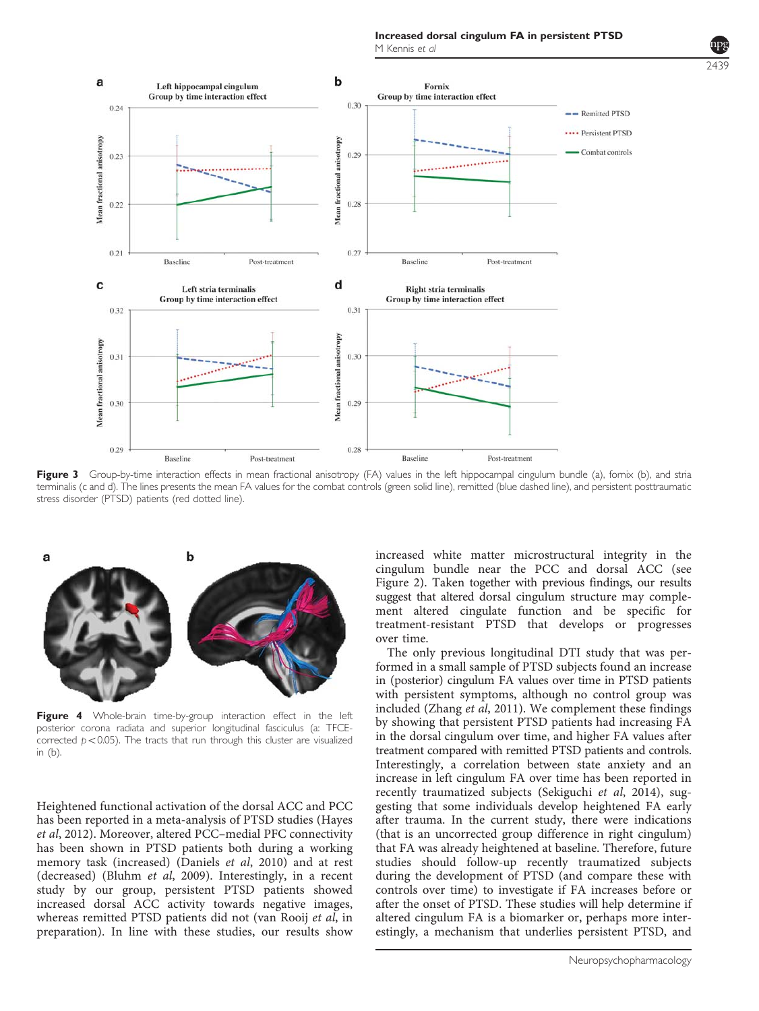2439

<span id="page-5-0"></span>

Figure 3 Group-by-time interaction effects in mean fractional anisotropy (FA) values in the left hippocampal cingulum bundle (a), fornix (b), and stria terminalis (c and d). The lines presents the mean FA values for the combat controls (green solid line), remitted (blue dashed line), and persistent posttraumatic stress disorder (PTSD) patients (red dotted line).



Figure 4 Whole-brain time-by-group interaction effect in the left posterior corona radiata and superior longitudinal fasciculus (a: TFCEcorrected  $p < 0.05$ ). The tracts that run through this cluster are visualized in (b).

Heightened functional activation of the dorsal ACC and PCC has been reported in a meta-analysis of PTSD studies (Hayes et al, 2012). Moreover, altered PCC–medial PFC connectivity has been shown in PTSD patients both during a working memory task (increased) (Daniels et al, 2010) and at rest (decreased) (Bluhm et al, 2009). Interestingly, in a recent study by our group, persistent PTSD patients showed increased dorsal ACC activity towards negative images, whereas remitted PTSD patients did not (van Rooij et al, in preparation). In line with these studies, our results show

increased white matter microstructural integrity in the cingulum bundle near the PCC and dorsal ACC (see [Figure 2](#page-4-0)). Taken together with previous findings, our results suggest that altered dorsal cingulum structure may complement altered cingulate function and be specific for treatment-resistant PTSD that develops or progresses over time.

The only previous longitudinal DTI study that was performed in a small sample of PTSD subjects found an increase in (posterior) cingulum FA values over time in PTSD patients with persistent symptoms, although no control group was included (Zhang et al, 2011). We complement these findings by showing that persistent PTSD patients had increasing FA in the dorsal cingulum over time, and higher FA values after treatment compared with remitted PTSD patients and controls. Interestingly, a correlation between state anxiety and an increase in left cingulum FA over time has been reported in recently traumatized subjects (Sekiguchi et al, 2014), suggesting that some individuals develop heightened FA early after trauma. In the current study, there were indications (that is an uncorrected group difference in right cingulum) that FA was already heightened at baseline. Therefore, future studies should follow-up recently traumatized subjects during the development of PTSD (and compare these with controls over time) to investigate if FA increases before or after the onset of PTSD. These studies will help determine if altered cingulum FA is a biomarker or, perhaps more interestingly, a mechanism that underlies persistent PTSD, and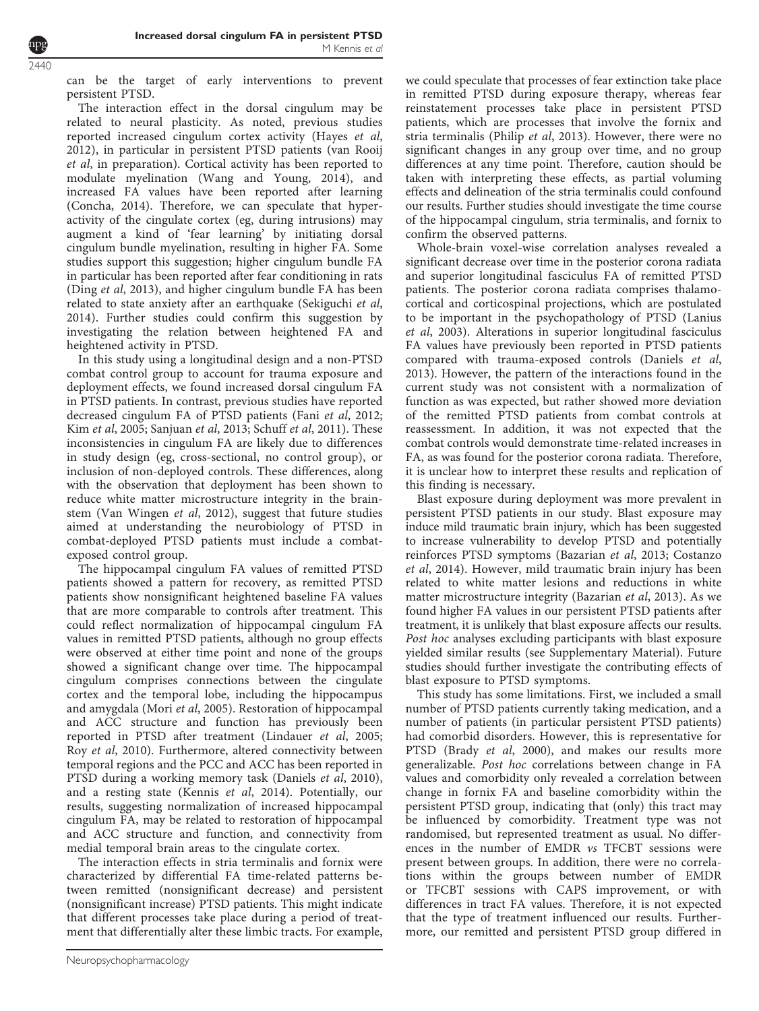can be the target of early interventions to prevent persistent PTSD.

The interaction effect in the dorsal cingulum may be related to neural plasticity. As noted, previous studies reported increased cingulum cortex activity (Hayes et al, 2012), in particular in persistent PTSD patients (van Rooij et al, in preparation). Cortical activity has been reported to modulate myelination (Wang and Young, 2014), and increased FA values have been reported after learning (Concha, 2014). Therefore, we can speculate that hyperactivity of the cingulate cortex (eg, during intrusions) may augment a kind of 'fear learning' by initiating dorsal cingulum bundle myelination, resulting in higher FA. Some studies support this suggestion; higher cingulum bundle FA in particular has been reported after fear conditioning in rats (Ding et al, 2013), and higher cingulum bundle FA has been related to state anxiety after an earthquake (Sekiguchi et al, 2014). Further studies could confirm this suggestion by investigating the relation between heightened FA and heightened activity in PTSD.

In this study using a longitudinal design and a non-PTSD combat control group to account for trauma exposure and deployment effects, we found increased dorsal cingulum FA in PTSD patients. In contrast, previous studies have reported decreased cingulum FA of PTSD patients (Fani et al, 2012; Kim et al, 2005; Sanjuan et al, 2013; Schuff et al, 2011). These inconsistencies in cingulum FA are likely due to differences in study design (eg, cross-sectional, no control group), or inclusion of non-deployed controls. These differences, along with the observation that deployment has been shown to reduce white matter microstructure integrity in the brainstem (Van Wingen et al, 2012), suggest that future studies aimed at understanding the neurobiology of PTSD in combat-deployed PTSD patients must include a combatexposed control group.

The hippocampal cingulum FA values of remitted PTSD patients showed a pattern for recovery, as remitted PTSD patients show nonsignificant heightened baseline FA values that are more comparable to controls after treatment. This could reflect normalization of hippocampal cingulum FA values in remitted PTSD patients, although no group effects were observed at either time point and none of the groups showed a significant change over time. The hippocampal cingulum comprises connections between the cingulate cortex and the temporal lobe, including the hippocampus and amygdala (Mori et al, 2005). Restoration of hippocampal and ACC structure and function has previously been reported in PTSD after treatment (Lindauer et al, 2005; Roy et al, 2010). Furthermore, altered connectivity between temporal regions and the PCC and ACC has been reported in PTSD during a working memory task (Daniels et al, 2010), and a resting state (Kennis et al, 2014). Potentially, our results, suggesting normalization of increased hippocampal cingulum FA, may be related to restoration of hippocampal and ACC structure and function, and connectivity from medial temporal brain areas to the cingulate cortex.

The interaction effects in stria terminalis and fornix were characterized by differential FA time-related patterns between remitted (nonsignificant decrease) and persistent (nonsignificant increase) PTSD patients. This might indicate that different processes take place during a period of treatment that differentially alter these limbic tracts. For example,

we could speculate that processes of fear extinction take place in remitted PTSD during exposure therapy, whereas fear reinstatement processes take place in persistent PTSD patients, which are processes that involve the fornix and stria terminalis (Philip et al, 2013). However, there were no significant changes in any group over time, and no group differences at any time point. Therefore, caution should be taken with interpreting these effects, as partial voluming effects and delineation of the stria terminalis could confound our results. Further studies should investigate the time course of the hippocampal cingulum, stria terminalis, and fornix to confirm the observed patterns.

Whole-brain voxel-wise correlation analyses revealed a significant decrease over time in the posterior corona radiata and superior longitudinal fasciculus FA of remitted PTSD patients. The posterior corona radiata comprises thalamocortical and corticospinal projections, which are postulated to be important in the psychopathology of PTSD (Lanius et al, 2003). Alterations in superior longitudinal fasciculus FA values have previously been reported in PTSD patients compared with trauma-exposed controls (Daniels et al, 2013). However, the pattern of the interactions found in the current study was not consistent with a normalization of function as was expected, but rather showed more deviation of the remitted PTSD patients from combat controls at reassessment. In addition, it was not expected that the combat controls would demonstrate time-related increases in FA, as was found for the posterior corona radiata. Therefore, it is unclear how to interpret these results and replication of this finding is necessary.

Blast exposure during deployment was more prevalent in persistent PTSD patients in our study. Blast exposure may induce mild traumatic brain injury, which has been suggested to increase vulnerability to develop PTSD and potentially reinforces PTSD symptoms (Bazarian et al, 2013; Costanzo et al, 2014). However, mild traumatic brain injury has been related to white matter lesions and reductions in white matter microstructure integrity (Bazarian et al, 2013). As we found higher FA values in our persistent PTSD patients after treatment, it is unlikely that blast exposure affects our results. Post hoc analyses excluding participants with blast exposure yielded similar results (see Supplementary Material). Future studies should further investigate the contributing effects of blast exposure to PTSD symptoms.

This study has some limitations. First, we included a small number of PTSD patients currently taking medication, and a number of patients (in particular persistent PTSD patients) had comorbid disorders. However, this is representative for PTSD (Brady et al, 2000), and makes our results more generalizable. Post hoc correlations between change in FA values and comorbidity only revealed a correlation between change in fornix FA and baseline comorbidity within the persistent PTSD group, indicating that (only) this tract may be influenced by comorbidity. Treatment type was not randomised, but represented treatment as usual. No differences in the number of EMDR vs TFCBT sessions were present between groups. In addition, there were no correlations within the groups between number of EMDR or TFCBT sessions with CAPS improvement, or with differences in tract FA values. Therefore, it is not expected that the type of treatment influenced our results. Furthermore, our remitted and persistent PTSD group differed in

2440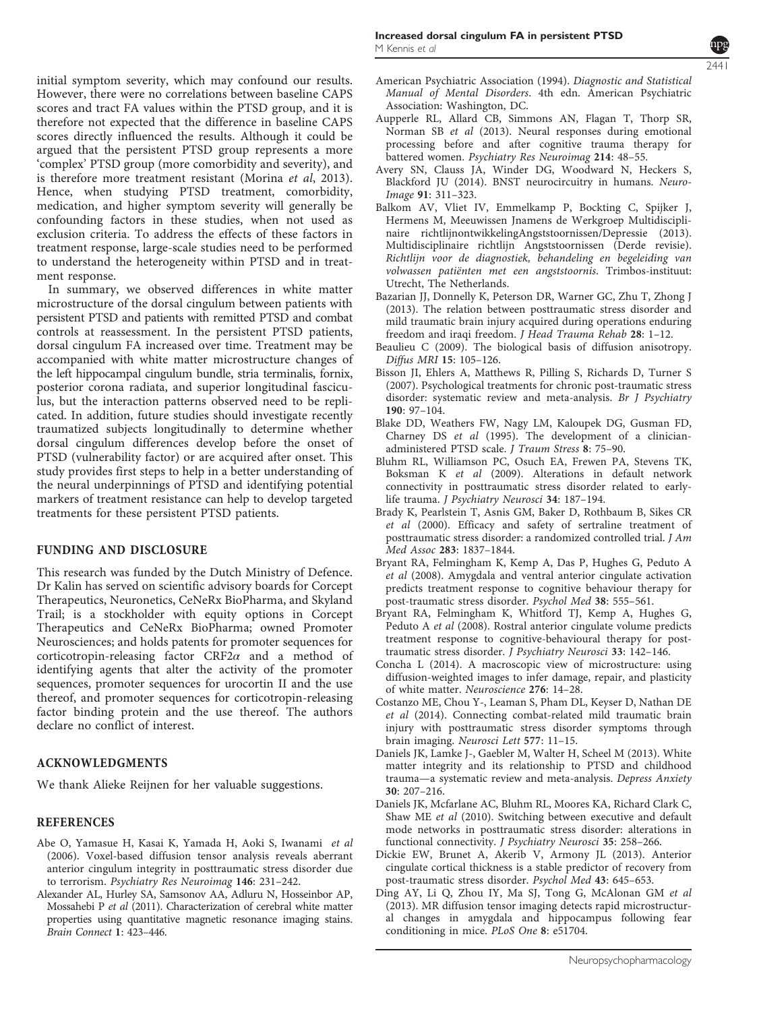2441

initial symptom severity, which may confound our results. However, there were no correlations between baseline CAPS scores and tract FA values within the PTSD group, and it is therefore not expected that the difference in baseline CAPS scores directly influenced the results. Although it could be argued that the persistent PTSD group represents a more 'complex' PTSD group (more comorbidity and severity), and is therefore more treatment resistant (Morina et al, 2013). Hence, when studying PTSD treatment, comorbidity, medication, and higher symptom severity will generally be confounding factors in these studies, when not used as exclusion criteria. To address the effects of these factors in treatment response, large-scale studies need to be performed to understand the heterogeneity within PTSD and in treatment response.

In summary, we observed differences in white matter microstructure of the dorsal cingulum between patients with persistent PTSD and patients with remitted PTSD and combat controls at reassessment. In the persistent PTSD patients, dorsal cingulum FA increased over time. Treatment may be accompanied with white matter microstructure changes of the left hippocampal cingulum bundle, stria terminalis, fornix, posterior corona radiata, and superior longitudinal fasciculus, but the interaction patterns observed need to be replicated. In addition, future studies should investigate recently traumatized subjects longitudinally to determine whether dorsal cingulum differences develop before the onset of PTSD (vulnerability factor) or are acquired after onset. This study provides first steps to help in a better understanding of the neural underpinnings of PTSD and identifying potential markers of treatment resistance can help to develop targeted treatments for these persistent PTSD patients.

# FUNDING AND DISCLOSURE

This research was funded by the Dutch Ministry of Defence. Dr Kalin has served on scientific advisory boards for Corcept Therapeutics, Neuronetics, CeNeRx BioPharma, and Skyland Trail; is a stockholder with equity options in Corcept Therapeutics and CeNeRx BioPharma; owned Promoter Neurosciences; and holds patents for promoter sequences for corticotropin-releasing factor CRF2α and a method of identifying agents that alter the activity of the promoter sequences, promoter sequences for urocortin II and the use thereof, and promoter sequences for corticotropin-releasing factor binding protein and the use thereof. The authors declare no conflict of interest.

## ACKNOWLEDGMENTS

We thank Alieke Reijnen for her valuable suggestions.

## REFERENCES

- Abe O, Yamasue H, Kasai K, Yamada H, Aoki S, Iwanami et al (2006). Voxel-based diffusion tensor analysis reveals aberrant anterior cingulum integrity in posttraumatic stress disorder due to terrorism. Psychiatry Res Neuroimag 146: 231–242.
- Alexander AL, Hurley SA, Samsonov AA, Adluru N, Hosseinbor AP, Mossahebi P et al (2011). Characterization of cerebral white matter properties using quantitative magnetic resonance imaging stains. Brain Connect 1: 423–446.
- American Psychiatric Association (1994). Diagnostic and Statistical Manual of Mental Disorders. 4th edn. American Psychiatric Association: Washington, DC.
- Aupperle RL, Allard CB, Simmons AN, Flagan T, Thorp SR, Norman SB et al (2013). Neural responses during emotional processing before and after cognitive trauma therapy for battered women. Psychiatry Res Neuroimag 214: 48–55.
- Avery SN, Clauss JA, Winder DG, Woodward N, Heckers S, Blackford JU (2014). BNST neurocircuitry in humans. Neuro-Image 91: 311–323.
- Balkom AV, Vliet IV, Emmelkamp P, Bockting C, Spijker J, Hermens M, Meeuwissen Jnamens de Werkgroep Multidisciplinaire richtlijnontwikkelingAngststoornissen/Depressie (2013). Multidisciplinaire richtlijn Angststoornissen (Derde revisie). Richtlijn voor de diagnostiek, behandeling en begeleiding van volwassen patiënten met een angststoornis. Trimbos-instituut: Utrecht, The Netherlands.
- Bazarian JJ, Donnelly K, Peterson DR, Warner GC, Zhu T, Zhong J (2013). The relation between posttraumatic stress disorder and mild traumatic brain injury acquired during operations enduring freedom and iraqi freedom. J Head Trauma Rehab 28: 1–12.
- Beaulieu C (2009). The biological basis of diffusion anisotropy. Diffus MRI 15: 105–126.
- Bisson JI, Ehlers A, Matthews R, Pilling S, Richards D, Turner S (2007). Psychological treatments for chronic post-traumatic stress disorder: systematic review and meta-analysis. Br J Psychiatry 190: 97–104.
- Blake DD, Weathers FW, Nagy LM, Kaloupek DG, Gusman FD, Charney DS et al (1995). The development of a clinicianadministered PTSD scale. J Traum Stress 8: 75–90.
- Bluhm RL, Williamson PC, Osuch EA, Frewen PA, Stevens TK, Boksman K et al (2009). Alterations in default network connectivity in posttraumatic stress disorder related to earlylife trauma. J Psychiatry Neurosci 34: 187–194.
- Brady K, Pearlstein T, Asnis GM, Baker D, Rothbaum B, Sikes CR et al (2000). Efficacy and safety of sertraline treatment of posttraumatic stress disorder: a randomized controlled trial. J Am Med Assoc 283: 1837–1844.
- Bryant RA, Felmingham K, Kemp A, Das P, Hughes G, Peduto A et al (2008). Amygdala and ventral anterior cingulate activation predicts treatment response to cognitive behaviour therapy for post-traumatic stress disorder. Psychol Med 38: 555–561.
- Bryant RA, Felmingham K, Whitford TJ, Kemp A, Hughes G, Peduto A et al (2008). Rostral anterior cingulate volume predicts treatment response to cognitive-behavioural therapy for posttraumatic stress disorder. J Psychiatry Neurosci 33: 142–146.
- Concha L (2014). A macroscopic view of microstructure: using diffusion-weighted images to infer damage, repair, and plasticity of white matter. Neuroscience 276: 14–28.
- Costanzo ME, Chou Y-, Leaman S, Pham DL, Keyser D, Nathan DE et al (2014). Connecting combat-related mild traumatic brain injury with posttraumatic stress disorder symptoms through brain imaging. Neurosci Lett 577: 11–15.
- Daniels JK, Lamke J-, Gaebler M, Walter H, Scheel M (2013). White matter integrity and its relationship to PTSD and childhood trauma—a systematic review and meta-analysis. Depress Anxiety 30: 207–216.
- Daniels JK, Mcfarlane AC, Bluhm RL, Moores KA, Richard Clark C, Shaw ME et al (2010). Switching between executive and default mode networks in posttraumatic stress disorder: alterations in functional connectivity. J Psychiatry Neurosci 35: 258–266.
- Dickie EW, Brunet A, Akerib V, Armony JL (2013). Anterior cingulate cortical thickness is a stable predictor of recovery from post-traumatic stress disorder. Psychol Med 43: 645–653.
- Ding AY, Li Q, Zhou IY, Ma SJ, Tong G, McAlonan GM et al (2013). MR diffusion tensor imaging detects rapid microstructural changes in amygdala and hippocampus following fear conditioning in mice. PLoS One 8: e51704.